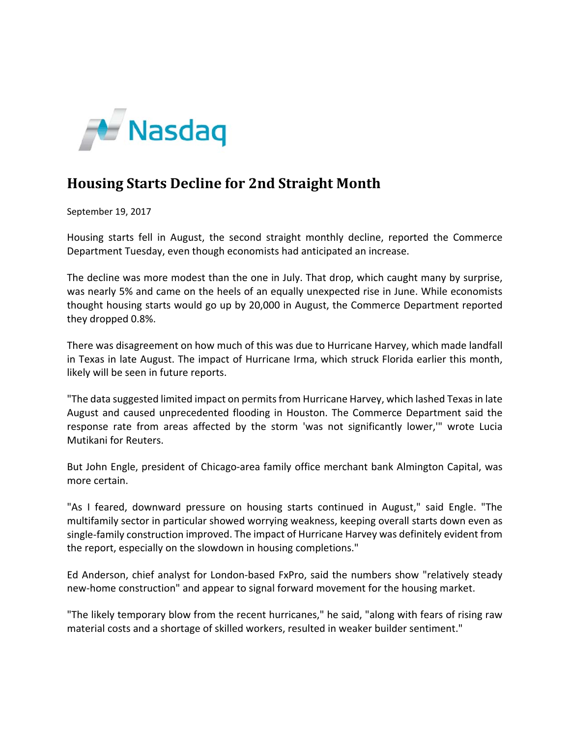

## **Housing Starts Decline for 2nd Straight Month**

September 19, 2017

Housing starts fell in August, the second straight monthly decline, reported the Commerce Department Tuesday, even though economists had anticipated an increase.

The decline was more modest than the one in July. That drop, which caught many by surprise, was nearly 5% and came on the heels of an equally unexpected rise in June. While economists thought housing starts would go up by 20,000 in August, the Commerce Department reported they dropped 0.8%.

There was disagreement on how much of this was due to Hurricane Harvey, which made landfall in Texas in late August. The impact of Hurricane Irma, which struck Florida earlier this month, likely will be seen in future reports.

"The data suggested limited impact on permits from Hurricane Harvey, which lashed Texas in late August and caused unprecedented flooding in Houston. The Commerce Department said the response rate from areas affected by the storm 'was not significantly lower,'" wrote Lucia Mutikani for Reuters.

But John Engle, president of Chicago‐area family office merchant bank Almington Capital, was more certain.

"As I feared, downward pressure on housing starts continued in August," said Engle. "The multifamily sector in particular showed worrying weakness, keeping overall starts down even as single‐family construction improved. The impact of Hurricane Harvey was definitely evident from the report, especially on the slowdown in housing completions."

Ed Anderson, chief analyst for London‐based FxPro, said the numbers show "relatively steady new-home construction" and appear to signal forward movement for the housing market.

"The likely temporary blow from the recent hurricanes," he said, "along with fears of rising raw material costs and a shortage of skilled workers, resulted in weaker builder sentiment."